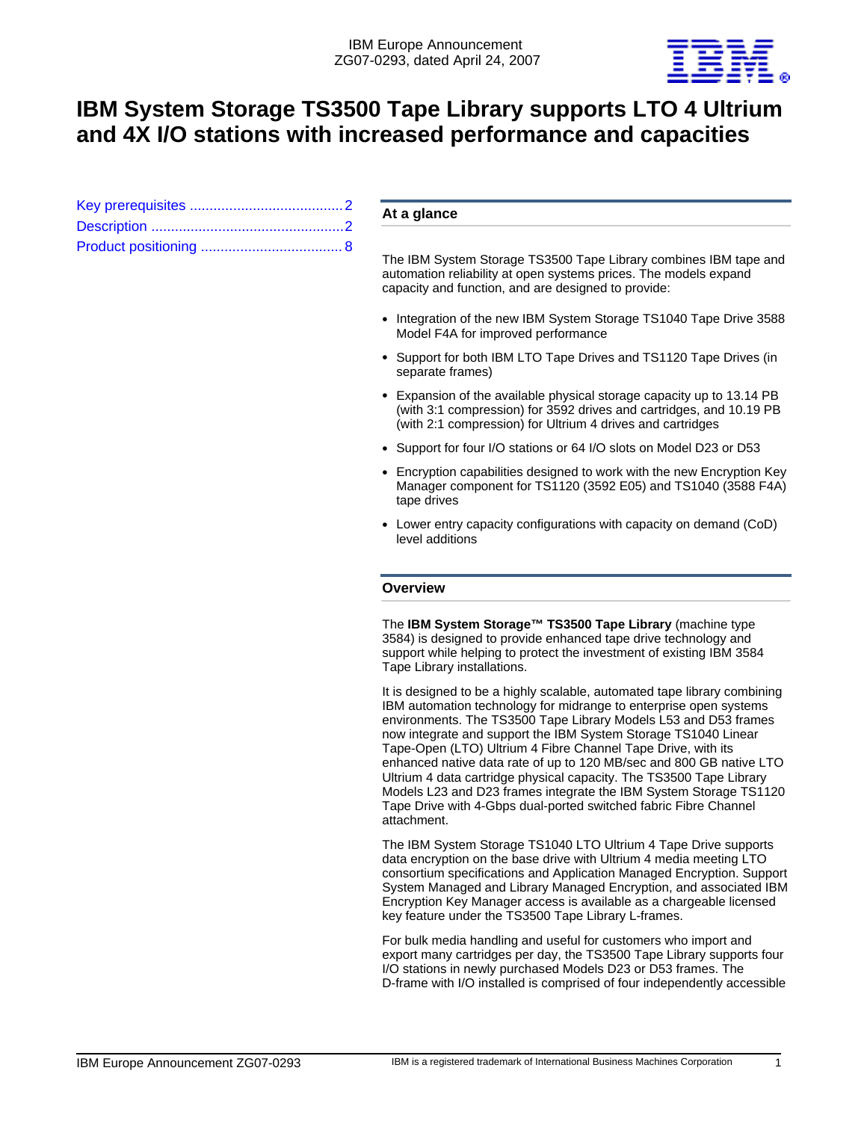

# **IBM System Storage TS3500 Tape Library supports LTO 4 Ultrium and 4X I/O stations with increased performance and capacities**

# **At a glance**

The IBM System Storage TS3500 Tape Library combines IBM tape and automation reliability at open systems prices. The models expand capacity and function, and are designed to provide:

- Integration of the new IBM System Storage TS1040 Tape Drive 3588 Model F4A for improved performance
- Support for both IBM LTO Tape Drives and TS1120 Tape Drives (in separate frames)
- Expansion of the available physical storage capacity up to 13.14 PB (with 3:1 compression) for 3592 drives and cartridges, and 10.19 PB (with 2:1 compression) for Ultrium 4 drives and cartridges
- Support for four I/O stations or 64 I/O slots on Model D23 or D53
- Encryption capabilities designed to work with the new Encryption Key Manager component for TS1120 (3592 E05) and TS1040 (3588 F4A) tape drives
- Lower entry capacity configurations with capacity on demand (CoD) level additions

## **Overview**

The **IBM System Storage™ TS3500 Tape Library** (machine type 3584) is designed to provide enhanced tape drive technology and support while helping to protect the investment of existing IBM 3584 Tape Library installations.

It is designed to be a highly scalable, automated tape library combining IBM automation technology for midrange to enterprise open systems environments. The TS3500 Tape Library Models L53 and D53 frames now integrate and support the IBM System Storage TS1040 Linear Tape-Open (LTO) Ultrium 4 Fibre Channel Tape Drive, with its enhanced native data rate of up to 120 MB/sec and 800 GB native LTO Ultrium 4 data cartridge physical capacity. The TS3500 Tape Library Models L23 and D23 frames integrate the IBM System Storage TS1120 Tape Drive with 4-Gbps dual-ported switched fabric Fibre Channel attachment.

The IBM System Storage TS1040 LTO Ultrium 4 Tape Drive supports data encryption on the base drive with Ultrium 4 media meeting LTO consortium specifications and Application Managed Encryption. Support System Managed and Library Managed Encryption, and associated IBM Encryption Key Manager access is available as a chargeable licensed key feature under the TS3500 Tape Library L-frames.

For bulk media handling and useful for customers who import and export many cartridges per day, the TS3500 Tape Library supports four I/O stations in newly purchased Models D23 or D53 frames. The D-frame with I/O installed is comprised of four independently accessible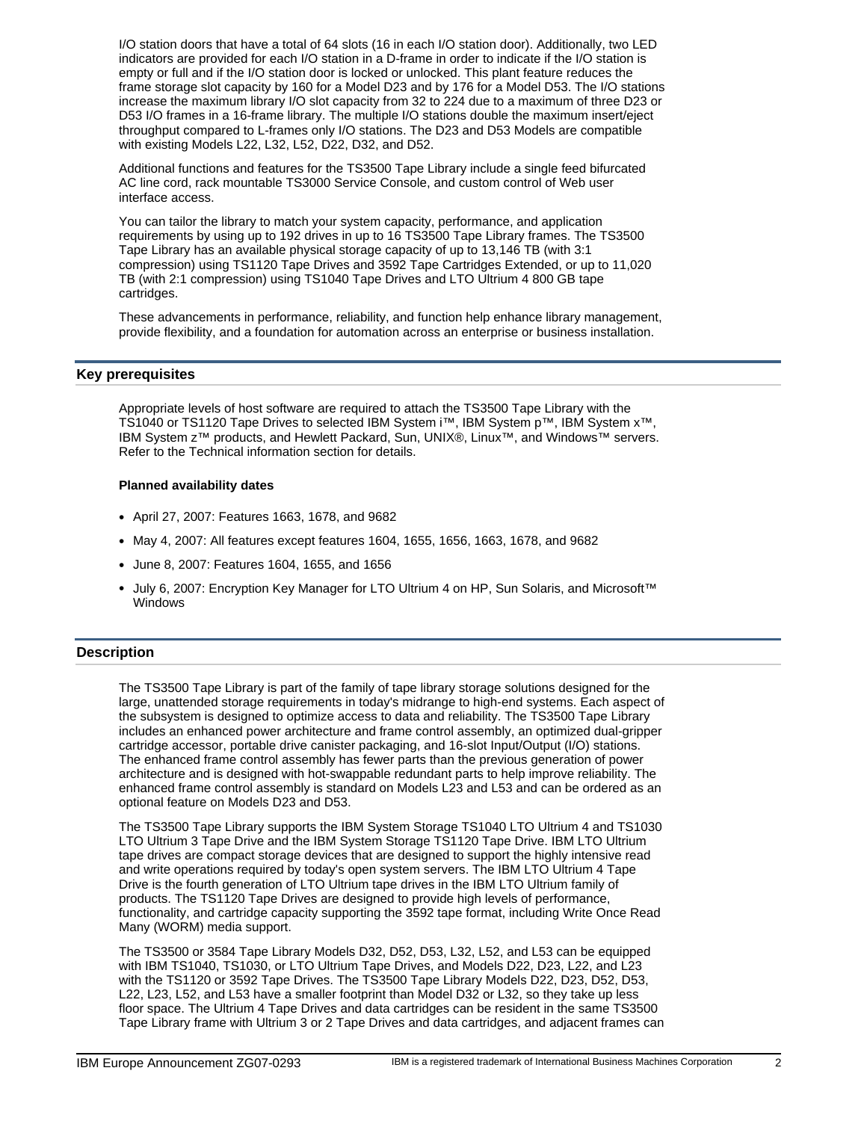I/O station doors that have a total of 64 slots (16 in each I/O station door). Additionally, two LED indicators are provided for each I/O station in a D-frame in order to indicate if the I/O station is empty or full and if the I/O station door is locked or unlocked. This plant feature reduces the frame storage slot capacity by 160 for a Model D23 and by 176 for a Model D53. The I/O stations increase the maximum library I/O slot capacity from 32 to 224 due to a maximum of three D23 or D53 I/O frames in a 16-frame library. The multiple I/O stations double the maximum insert/eject throughput compared to L-frames only I/O stations. The D23 and D53 Models are compatible with existing Models L22, L32, L52, D22, D32, and D52.

Additional functions and features for the TS3500 Tape Library include a single feed bifurcated AC line cord, rack mountable TS3000 Service Console, and custom control of Web user interface access.

You can tailor the library to match your system capacity, performance, and application requirements by using up to 192 drives in up to 16 TS3500 Tape Library frames. The TS3500 Tape Library has an available physical storage capacity of up to 13,146 TB (with 3:1 compression) using TS1120 Tape Drives and 3592 Tape Cartridges Extended, or up to 11,020 TB (with 2:1 compression) using TS1040 Tape Drives and LTO Ultrium 4 800 GB tape cartridges.

These advancements in performance, reliability, and function help enhance library management, provide flexibility, and a foundation for automation across an enterprise or business installation.

# <span id="page-1-0"></span>**Key prerequisites**

Appropriate levels of host software are required to attach the TS3500 Tape Library with the TS1040 or TS1120 Tape Drives to selected IBM System i™, IBM System p™, IBM System x™, IBM System z™ products, and Hewlett Packard, Sun, UNIX®, Linux™, and Windows™ servers. Refer to the Technical information section for details.

## **Planned availability dates**

- April 27, 2007: Features 1663, 1678, and 9682
- May 4, 2007: All features except features 1604, 1655, 1656, 1663, 1678, and 9682
- June 8, 2007: Features 1604, 1655, and 1656
- July 6, 2007: Encryption Key Manager for LTO Ultrium 4 on HP, Sun Solaris, and Microsoft™ **Windows**

## <span id="page-1-1"></span>**Description**

The TS3500 Tape Library is part of the family of tape library storage solutions designed for the large, unattended storage requirements in today's midrange to high-end systems. Each aspect of the subsystem is designed to optimize access to data and reliability. The TS3500 Tape Library includes an enhanced power architecture and frame control assembly, an optimized dual-gripper cartridge accessor, portable drive canister packaging, and 16-slot Input/Output (I/O) stations. The enhanced frame control assembly has fewer parts than the previous generation of power architecture and is designed with hot-swappable redundant parts to help improve reliability. The enhanced frame control assembly is standard on Models L23 and L53 and can be ordered as an optional feature on Models D23 and D53.

The TS3500 Tape Library supports the IBM System Storage TS1040 LTO Ultrium 4 and TS1030 LTO Ultrium 3 Tape Drive and the IBM System Storage TS1120 Tape Drive. IBM LTO Ultrium tape drives are compact storage devices that are designed to support the highly intensive read and write operations required by today's open system servers. The IBM LTO Ultrium 4 Tape Drive is the fourth generation of LTO Ultrium tape drives in the IBM LTO Ultrium family of products. The TS1120 Tape Drives are designed to provide high levels of performance, functionality, and cartridge capacity supporting the 3592 tape format, including Write Once Read Many (WORM) media support.

The TS3500 or 3584 Tape Library Models D32, D52, D53, L32, L52, and L53 can be equipped with IBM TS1040, TS1030, or LTO Ultrium Tape Drives, and Models D22, D23, L22, and L23 with the TS1120 or 3592 Tape Drives. The TS3500 Tape Library Models D22, D23, D52, D53, L22, L23, L52, and L53 have a smaller footprint than Model D32 or L32, so they take up less floor space. The Ultrium 4 Tape Drives and data cartridges can be resident in the same TS3500 Tape Library frame with Ultrium 3 or 2 Tape Drives and data cartridges, and adjacent frames can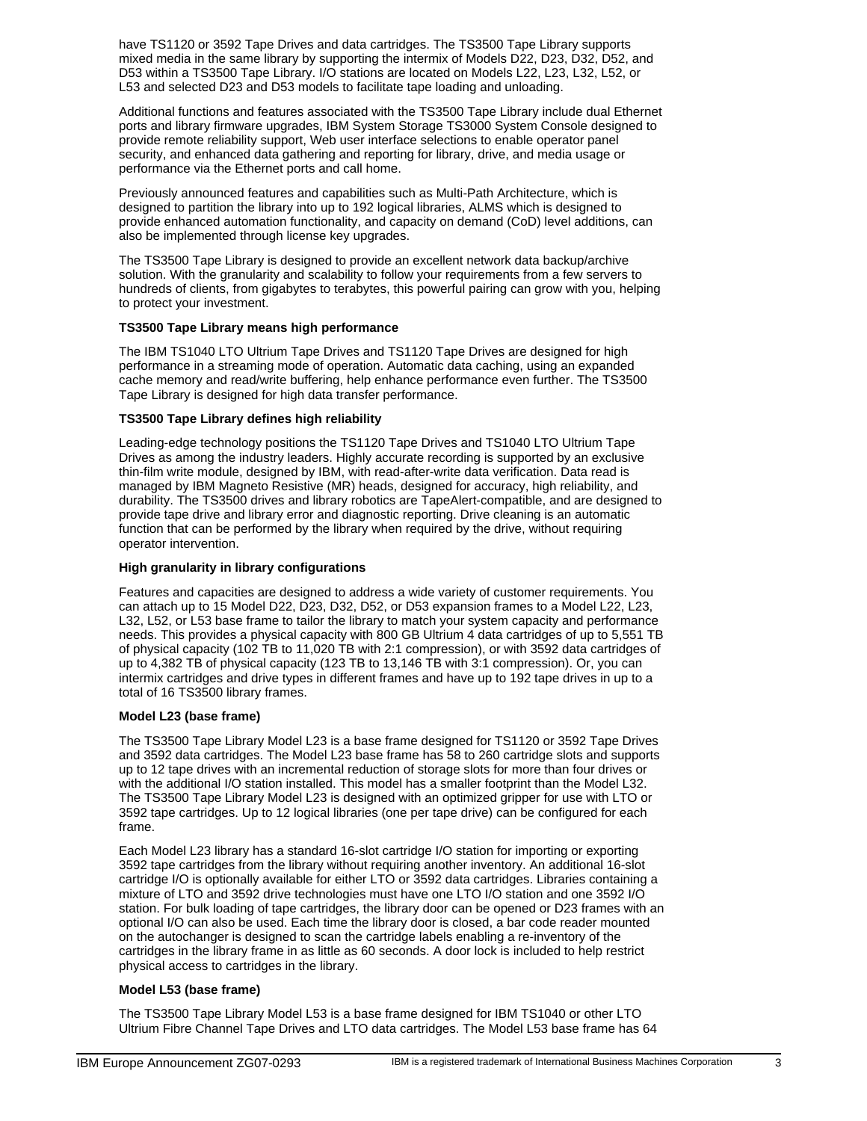have TS1120 or 3592 Tape Drives and data cartridges. The TS3500 Tape Library supports mixed media in the same library by supporting the intermix of Models D22, D23, D32, D52, and D53 within a TS3500 Tape Library. I/O stations are located on Models L22, L23, L32, L52, or L53 and selected D23 and D53 models to facilitate tape loading and unloading.

Additional functions and features associated with the TS3500 Tape Library include dual Ethernet ports and library firmware upgrades, IBM System Storage TS3000 System Console designed to provide remote reliability support, Web user interface selections to enable operator panel security, and enhanced data gathering and reporting for library, drive, and media usage or performance via the Ethernet ports and call home.

Previously announced features and capabilities such as Multi-Path Architecture, which is designed to partition the library into up to 192 logical libraries, ALMS which is designed to provide enhanced automation functionality, and capacity on demand (CoD) level additions, can also be implemented through license key upgrades.

The TS3500 Tape Library is designed to provide an excellent network data backup/archive solution. With the granularity and scalability to follow your requirements from a few servers to hundreds of clients, from gigabytes to terabytes, this powerful pairing can grow with you, helping to protect your investment.

# **TS3500 Tape Library means high performance**

The IBM TS1040 LTO Ultrium Tape Drives and TS1120 Tape Drives are designed for high performance in a streaming mode of operation. Automatic data caching, using an expanded cache memory and read/write buffering, help enhance performance even further. The TS3500 Tape Library is designed for high data transfer performance.

# **TS3500 Tape Library defines high reliability**

Leading-edge technology positions the TS1120 Tape Drives and TS1040 LTO Ultrium Tape Drives as among the industry leaders. Highly accurate recording is supported by an exclusive thin-film write module, designed by IBM, with read-after-write data verification. Data read is managed by IBM Magneto Resistive (MR) heads, designed for accuracy, high reliability, and durability. The TS3500 drives and library robotics are TapeAlert-compatible, and are designed to provide tape drive and library error and diagnostic reporting. Drive cleaning is an automatic function that can be performed by the library when required by the drive, without requiring operator intervention.

# **High granularity in library configurations**

Features and capacities are designed to address a wide variety of customer requirements. You can attach up to 15 Model D22, D23, D32, D52, or D53 expansion frames to a Model L22, L23, L32, L52, or L53 base frame to tailor the library to match your system capacity and performance needs. This provides a physical capacity with 800 GB Ultrium 4 data cartridges of up to 5,551 TB of physical capacity (102 TB to 11,020 TB with 2:1 compression), or with 3592 data cartridges of up to 4,382 TB of physical capacity (123 TB to 13,146 TB with 3:1 compression). Or, you can intermix cartridges and drive types in different frames and have up to 192 tape drives in up to a total of 16 TS3500 library frames.

## **Model L23 (base frame)**

The TS3500 Tape Library Model L23 is a base frame designed for TS1120 or 3592 Tape Drives and 3592 data cartridges. The Model L23 base frame has 58 to 260 cartridge slots and supports up to 12 tape drives with an incremental reduction of storage slots for more than four drives or with the additional I/O station installed. This model has a smaller footprint than the Model L32. The TS3500 Tape Library Model L23 is designed with an optimized gripper for use with LTO or 3592 tape cartridges. Up to 12 logical libraries (one per tape drive) can be configured for each frame.

Each Model L23 library has a standard 16-slot cartridge I/O station for importing or exporting 3592 tape cartridges from the library without requiring another inventory. An additional 16-slot cartridge I/O is optionally available for either LTO or 3592 data cartridges. Libraries containing a mixture of LTO and 3592 drive technologies must have one LTO I/O station and one 3592 I/O station. For bulk loading of tape cartridges, the library door can be opened or D23 frames with an optional I/O can also be used. Each time the library door is closed, a bar code reader mounted on the autochanger is designed to scan the cartridge labels enabling a re-inventory of the cartridges in the library frame in as little as 60 seconds. A door lock is included to help restrict physical access to cartridges in the library.

## **Model L53 (base frame)**

The TS3500 Tape Library Model L53 is a base frame designed for IBM TS1040 or other LTO Ultrium Fibre Channel Tape Drives and LTO data cartridges. The Model L53 base frame has 64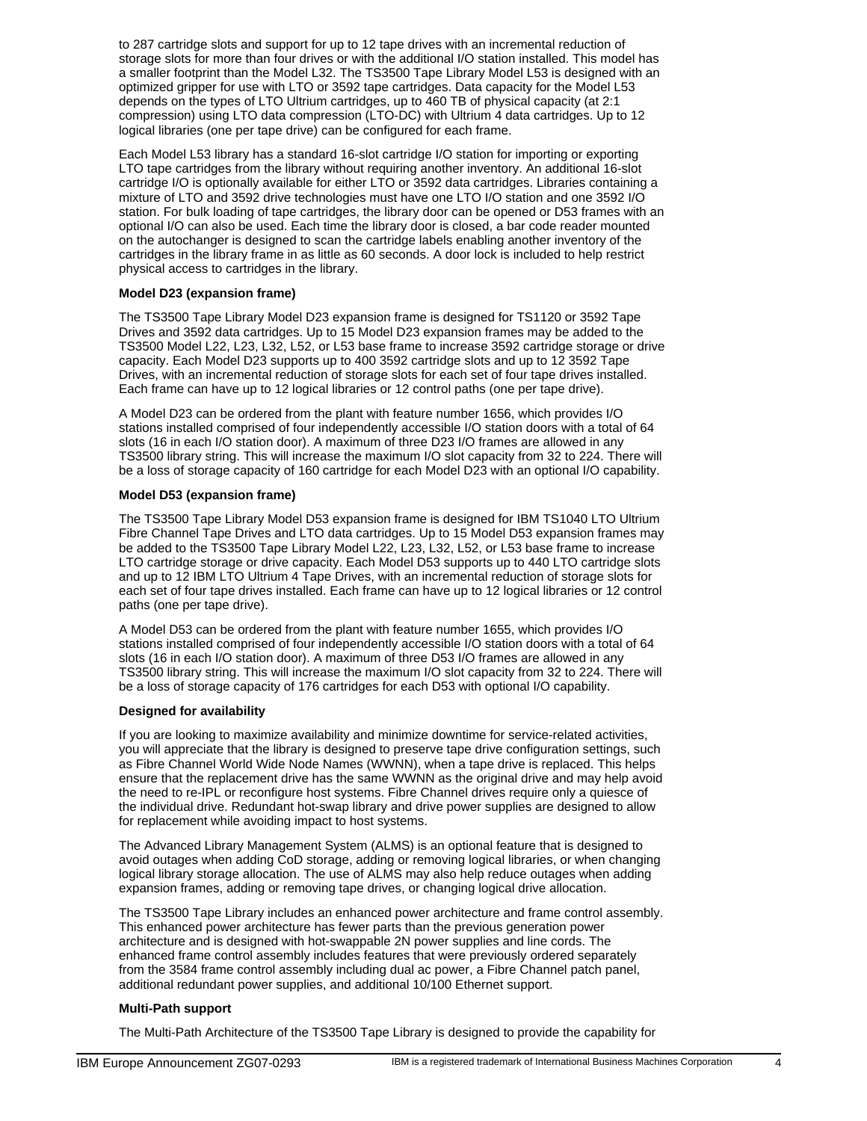to 287 cartridge slots and support for up to 12 tape drives with an incremental reduction of storage slots for more than four drives or with the additional I/O station installed. This model has a smaller footprint than the Model L32. The TS3500 Tape Library Model L53 is designed with an optimized gripper for use with LTO or 3592 tape cartridges. Data capacity for the Model L53 depends on the types of LTO Ultrium cartridges, up to 460 TB of physical capacity (at 2:1 compression) using LTO data compression (LTO-DC) with Ultrium 4 data cartridges. Up to 12 logical libraries (one per tape drive) can be configured for each frame.

Each Model L53 library has a standard 16-slot cartridge I/O station for importing or exporting LTO tape cartridges from the library without requiring another inventory. An additional 16-slot cartridge I/O is optionally available for either LTO or 3592 data cartridges. Libraries containing a mixture of LTO and 3592 drive technologies must have one LTO I/O station and one 3592 I/O station. For bulk loading of tape cartridges, the library door can be opened or D53 frames with an optional I/O can also be used. Each time the library door is closed, a bar code reader mounted on the autochanger is designed to scan the cartridge labels enabling another inventory of the cartridges in the library frame in as little as 60 seconds. A door lock is included to help restrict physical access to cartridges in the library.

## **Model D23 (expansion frame)**

The TS3500 Tape Library Model D23 expansion frame is designed for TS1120 or 3592 Tape Drives and 3592 data cartridges. Up to 15 Model D23 expansion frames may be added to the TS3500 Model L22, L23, L32, L52, or L53 base frame to increase 3592 cartridge storage or drive capacity. Each Model D23 supports up to 400 3592 cartridge slots and up to 12 3592 Tape Drives, with an incremental reduction of storage slots for each set of four tape drives installed. Each frame can have up to 12 logical libraries or 12 control paths (one per tape drive).

A Model D23 can be ordered from the plant with feature number 1656, which provides I/O stations installed comprised of four independently accessible I/O station doors with a total of 64 slots (16 in each I/O station door). A maximum of three D23 I/O frames are allowed in any TS3500 library string. This will increase the maximum I/O slot capacity from 32 to 224. There will be a loss of storage capacity of 160 cartridge for each Model D23 with an optional I/O capability.

## **Model D53 (expansion frame)**

The TS3500 Tape Library Model D53 expansion frame is designed for IBM TS1040 LTO Ultrium Fibre Channel Tape Drives and LTO data cartridges. Up to 15 Model D53 expansion frames may be added to the TS3500 Tape Library Model L22, L23, L32, L52, or L53 base frame to increase LTO cartridge storage or drive capacity. Each Model D53 supports up to 440 LTO cartridge slots and up to 12 IBM LTO Ultrium 4 Tape Drives, with an incremental reduction of storage slots for each set of four tape drives installed. Each frame can have up to 12 logical libraries or 12 control paths (one per tape drive).

A Model D53 can be ordered from the plant with feature number 1655, which provides I/O stations installed comprised of four independently accessible I/O station doors with a total of 64 slots (16 in each I/O station door). A maximum of three D53 I/O frames are allowed in any TS3500 library string. This will increase the maximum I/O slot capacity from 32 to 224. There will be a loss of storage capacity of 176 cartridges for each D53 with optional I/O capability.

## **Designed for availability**

If you are looking to maximize availability and minimize downtime for service-related activities, you will appreciate that the library is designed to preserve tape drive configuration settings, such as Fibre Channel World Wide Node Names (WWNN), when a tape drive is replaced. This helps ensure that the replacement drive has the same WWNN as the original drive and may help avoid the need to re-IPL or reconfigure host systems. Fibre Channel drives require only a quiesce of the individual drive. Redundant hot-swap library and drive power supplies are designed to allow for replacement while avoiding impact to host systems.

The Advanced Library Management System (ALMS) is an optional feature that is designed to avoid outages when adding CoD storage, adding or removing logical libraries, or when changing logical library storage allocation. The use of ALMS may also help reduce outages when adding expansion frames, adding or removing tape drives, or changing logical drive allocation.

The TS3500 Tape Library includes an enhanced power architecture and frame control assembly. This enhanced power architecture has fewer parts than the previous generation power architecture and is designed with hot-swappable 2N power supplies and line cords. The enhanced frame control assembly includes features that were previously ordered separately from the 3584 frame control assembly including dual ac power, a Fibre Channel patch panel, additional redundant power supplies, and additional 10/100 Ethernet support.

## **Multi-Path support**

The Multi-Path Architecture of the TS3500 Tape Library is designed to provide the capability for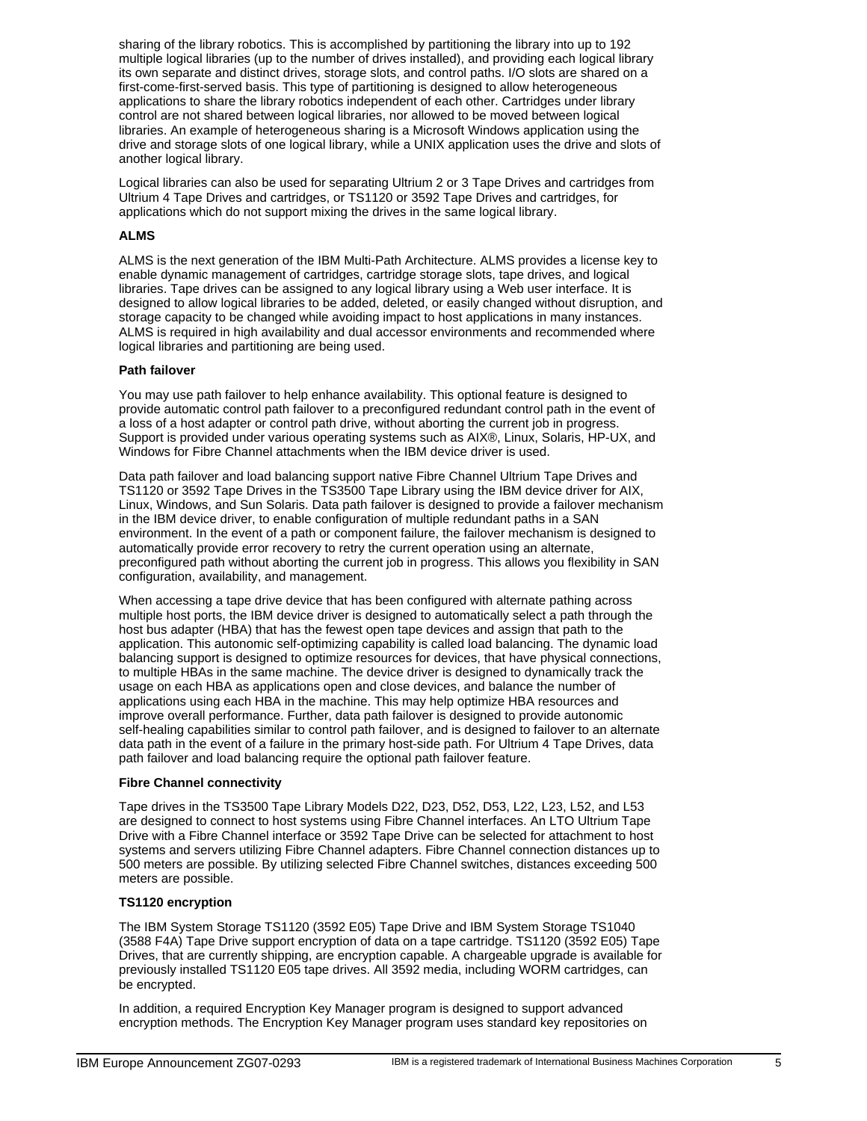sharing of the library robotics. This is accomplished by partitioning the library into up to 192 multiple logical libraries (up to the number of drives installed), and providing each logical library its own separate and distinct drives, storage slots, and control paths. I/O slots are shared on a first-come-first-served basis. This type of partitioning is designed to allow heterogeneous applications to share the library robotics independent of each other. Cartridges under library control are not shared between logical libraries, nor allowed to be moved between logical libraries. An example of heterogeneous sharing is a Microsoft Windows application using the drive and storage slots of one logical library, while a UNIX application uses the drive and slots of another logical library.

Logical libraries can also be used for separating Ultrium 2 or 3 Tape Drives and cartridges from Ultrium 4 Tape Drives and cartridges, or TS1120 or 3592 Tape Drives and cartridges, for applications which do not support mixing the drives in the same logical library.

## **ALMS**

ALMS is the next generation of the IBM Multi-Path Architecture. ALMS provides a license key to enable dynamic management of cartridges, cartridge storage slots, tape drives, and logical libraries. Tape drives can be assigned to any logical library using a Web user interface. It is designed to allow logical libraries to be added, deleted, or easily changed without disruption, and storage capacity to be changed while avoiding impact to host applications in many instances. ALMS is required in high availability and dual accessor environments and recommended where logical libraries and partitioning are being used.

#### **Path failover**

You may use path failover to help enhance availability. This optional feature is designed to provide automatic control path failover to a preconfigured redundant control path in the event of a loss of a host adapter or control path drive, without aborting the current job in progress. Support is provided under various operating systems such as AIX®, Linux, Solaris, HP-UX, and Windows for Fibre Channel attachments when the IBM device driver is used.

Data path failover and load balancing support native Fibre Channel Ultrium Tape Drives and TS1120 or 3592 Tape Drives in the TS3500 Tape Library using the IBM device driver for AIX, Linux, Windows, and Sun Solaris. Data path failover is designed to provide a failover mechanism in the IBM device driver, to enable configuration of multiple redundant paths in a SAN environment. In the event of a path or component failure, the failover mechanism is designed to automatically provide error recovery to retry the current operation using an alternate, preconfigured path without aborting the current job in progress. This allows you flexibility in SAN configuration, availability, and management.

When accessing a tape drive device that has been configured with alternate pathing across multiple host ports, the IBM device driver is designed to automatically select a path through the host bus adapter (HBA) that has the fewest open tape devices and assign that path to the application. This autonomic self-optimizing capability is called load balancing. The dynamic load balancing support is designed to optimize resources for devices, that have physical connections, to multiple HBAs in the same machine. The device driver is designed to dynamically track the usage on each HBA as applications open and close devices, and balance the number of applications using each HBA in the machine. This may help optimize HBA resources and improve overall performance. Further, data path failover is designed to provide autonomic self-healing capabilities similar to control path failover, and is designed to failover to an alternate data path in the event of a failure in the primary host-side path. For Ultrium 4 Tape Drives, data path failover and load balancing require the optional path failover feature.

#### **Fibre Channel connectivity**

Tape drives in the TS3500 Tape Library Models D22, D23, D52, D53, L22, L23, L52, and L53 are designed to connect to host systems using Fibre Channel interfaces. An LTO Ultrium Tape Drive with a Fibre Channel interface or 3592 Tape Drive can be selected for attachment to host systems and servers utilizing Fibre Channel adapters. Fibre Channel connection distances up to 500 meters are possible. By utilizing selected Fibre Channel switches, distances exceeding 500 meters are possible.

#### **TS1120 encryption**

The IBM System Storage TS1120 (3592 E05) Tape Drive and IBM System Storage TS1040 (3588 F4A) Tape Drive support encryption of data on a tape cartridge. TS1120 (3592 E05) Tape Drives, that are currently shipping, are encryption capable. A chargeable upgrade is available for previously installed TS1120 E05 tape drives. All 3592 media, including WORM cartridges, can be encrypted.

In addition, a required Encryption Key Manager program is designed to support advanced encryption methods. The Encryption Key Manager program uses standard key repositories on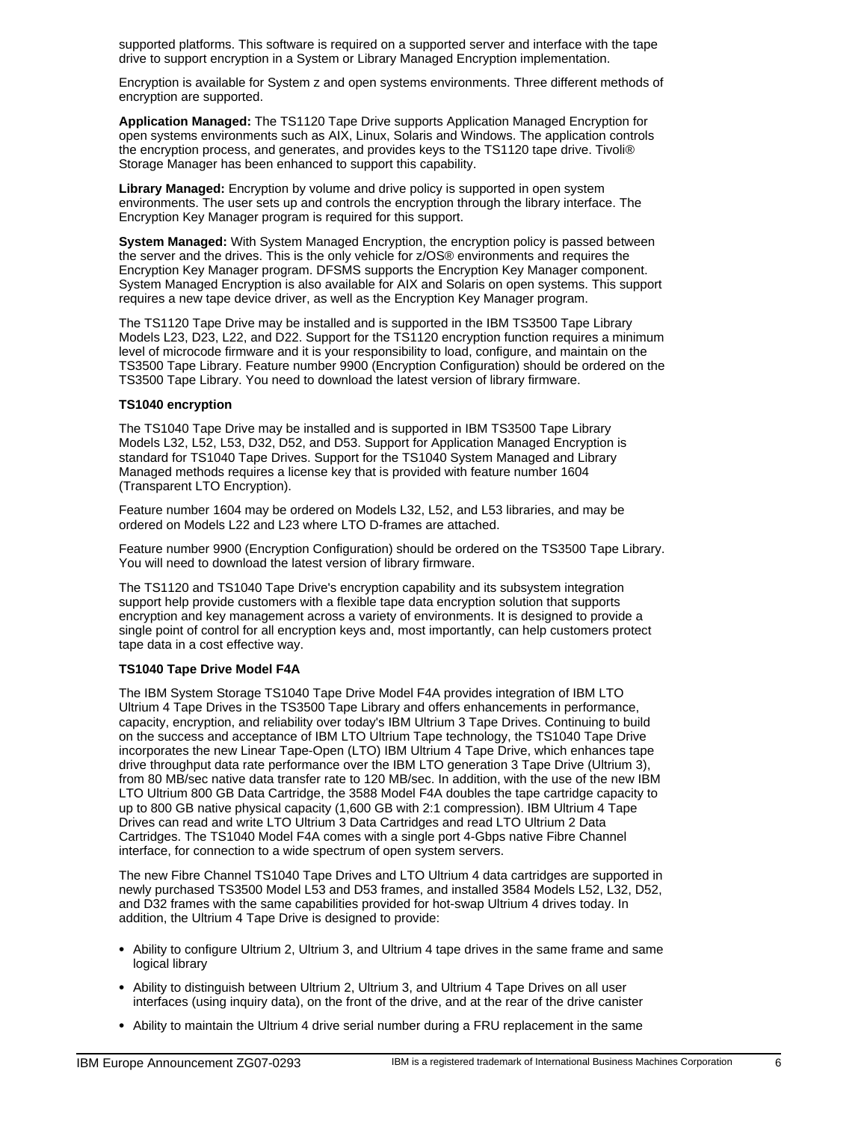supported platforms. This software is required on a supported server and interface with the tape drive to support encryption in a System or Library Managed Encryption implementation.

Encryption is available for System z and open systems environments. Three different methods of encryption are supported.

**Application Managed:** The TS1120 Tape Drive supports Application Managed Encryption for open systems environments such as AIX, Linux, Solaris and Windows. The application controls the encryption process, and generates, and provides keys to the TS1120 tape drive. Tivoli® Storage Manager has been enhanced to support this capability.

**Library Managed:** Encryption by volume and drive policy is supported in open system environments. The user sets up and controls the encryption through the library interface. The Encryption Key Manager program is required for this support.

**System Managed:** With System Managed Encryption, the encryption policy is passed between the server and the drives. This is the only vehicle for z/OS® environments and requires the Encryption Key Manager program. DFSMS supports the Encryption Key Manager component. System Managed Encryption is also available for AIX and Solaris on open systems. This support requires a new tape device driver, as well as the Encryption Key Manager program.

The TS1120 Tape Drive may be installed and is supported in the IBM TS3500 Tape Library Models L23, D23, L22, and D22. Support for the TS1120 encryption function requires a minimum level of microcode firmware and it is your responsibility to load, configure, and maintain on the TS3500 Tape Library. Feature number 9900 (Encryption Configuration) should be ordered on the TS3500 Tape Library. You need to download the latest version of library firmware.

#### **TS1040 encryption**

The TS1040 Tape Drive may be installed and is supported in IBM TS3500 Tape Library Models L32, L52, L53, D32, D52, and D53. Support for Application Managed Encryption is standard for TS1040 Tape Drives. Support for the TS1040 System Managed and Library Managed methods requires a license key that is provided with feature number 1604 (Transparent LTO Encryption).

Feature number 1604 may be ordered on Models L32, L52, and L53 libraries, and may be ordered on Models L22 and L23 where LTO D-frames are attached.

Feature number 9900 (Encryption Configuration) should be ordered on the TS3500 Tape Library. You will need to download the latest version of library firmware.

The TS1120 and TS1040 Tape Drive's encryption capability and its subsystem integration support help provide customers with a flexible tape data encryption solution that supports encryption and key management across a variety of environments. It is designed to provide a single point of control for all encryption keys and, most importantly, can help customers protect tape data in a cost effective way.

## **TS1040 Tape Drive Model F4A**

The IBM System Storage TS1040 Tape Drive Model F4A provides integration of IBM LTO Ultrium 4 Tape Drives in the TS3500 Tape Library and offers enhancements in performance, capacity, encryption, and reliability over today's IBM Ultrium 3 Tape Drives. Continuing to build on the success and acceptance of IBM LTO Ultrium Tape technology, the TS1040 Tape Drive incorporates the new Linear Tape-Open (LTO) IBM Ultrium 4 Tape Drive, which enhances tape drive throughput data rate performance over the IBM LTO generation 3 Tape Drive (Ultrium 3), from 80 MB/sec native data transfer rate to 120 MB/sec. In addition, with the use of the new IBM LTO Ultrium 800 GB Data Cartridge, the 3588 Model F4A doubles the tape cartridge capacity to up to 800 GB native physical capacity (1,600 GB with 2:1 compression). IBM Ultrium 4 Tape Drives can read and write LTO Ultrium 3 Data Cartridges and read LTO Ultrium 2 Data Cartridges. The TS1040 Model F4A comes with a single port 4-Gbps native Fibre Channel interface, for connection to a wide spectrum of open system servers.

The new Fibre Channel TS1040 Tape Drives and LTO Ultrium 4 data cartridges are supported in newly purchased TS3500 Model L53 and D53 frames, and installed 3584 Models L52, L32, D52, and D32 frames with the same capabilities provided for hot-swap Ultrium 4 drives today. In addition, the Ultrium 4 Tape Drive is designed to provide:

- Ability to configure Ultrium 2, Ultrium 3, and Ultrium 4 tape drives in the same frame and same logical library
- Ability to distinguish between Ultrium 2, Ultrium 3, and Ultrium 4 Tape Drives on all user interfaces (using inquiry data), on the front of the drive, and at the rear of the drive canister
- Ability to maintain the Ultrium 4 drive serial number during a FRU replacement in the same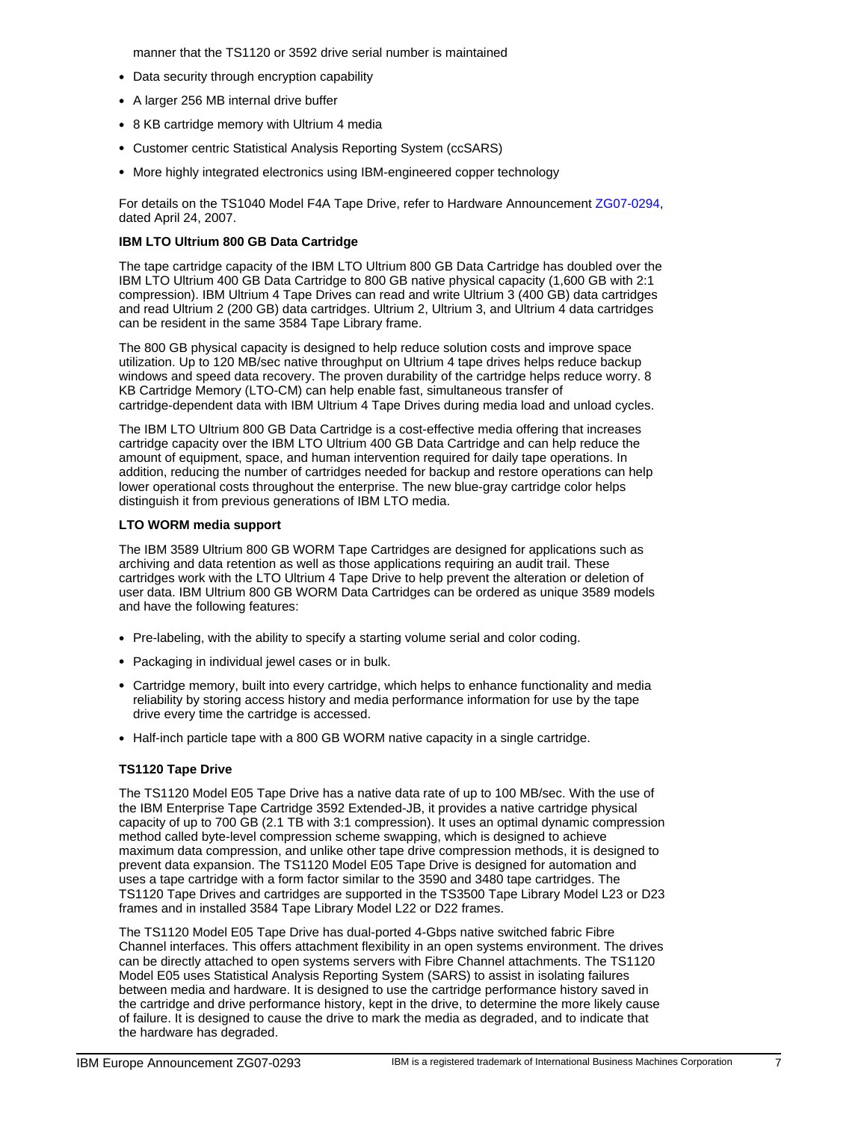manner that the TS1120 or 3592 drive serial number is maintained

- Data security through encryption capability
- A larger 256 MB internal drive buffer
- 8 KB cartridge memory with Ultrium 4 media
- Customer centric Statistical Analysis Reporting System (ccSARS)
- More highly integrated electronics using IBM-engineered copper technology

For details on the TS1040 Model F4A Tape Drive, refer to Hardware Announcement [ZG07-0294](http://www.ibm.com/common/ssi/fcgi-bin/ssialias?infotype=AN&subtype=CA&htmlfid=877/ENUSZG07-0294&appname=USN), dated April 24, 2007.

## **IBM LTO Ultrium 800 GB Data Cartridge**

The tape cartridge capacity of the IBM LTO Ultrium 800 GB Data Cartridge has doubled over the IBM LTO Ultrium 400 GB Data Cartridge to 800 GB native physical capacity (1,600 GB with 2:1 compression). IBM Ultrium 4 Tape Drives can read and write Ultrium 3 (400 GB) data cartridges and read Ultrium 2 (200 GB) data cartridges. Ultrium 2, Ultrium 3, and Ultrium 4 data cartridges can be resident in the same 3584 Tape Library frame.

The 800 GB physical capacity is designed to help reduce solution costs and improve space utilization. Up to 120 MB/sec native throughput on Ultrium 4 tape drives helps reduce backup windows and speed data recovery. The proven durability of the cartridge helps reduce worry. 8 KB Cartridge Memory (LTO-CM) can help enable fast, simultaneous transfer of cartridge-dependent data with IBM Ultrium 4 Tape Drives during media load and unload cycles.

The IBM LTO Ultrium 800 GB Data Cartridge is a cost-effective media offering that increases cartridge capacity over the IBM LTO Ultrium 400 GB Data Cartridge and can help reduce the amount of equipment, space, and human intervention required for daily tape operations. In addition, reducing the number of cartridges needed for backup and restore operations can help lower operational costs throughout the enterprise. The new blue-gray cartridge color helps distinguish it from previous generations of IBM LTO media.

#### **LTO WORM media support**

The IBM 3589 Ultrium 800 GB WORM Tape Cartridges are designed for applications such as archiving and data retention as well as those applications requiring an audit trail. These cartridges work with the LTO Ultrium 4 Tape Drive to help prevent the alteration or deletion of user data. IBM Ultrium 800 GB WORM Data Cartridges can be ordered as unique 3589 models and have the following features:

- Pre-labeling, with the ability to specify a starting volume serial and color coding.
- Packaging in individual jewel cases or in bulk.
- Cartridge memory, built into every cartridge, which helps to enhance functionality and media reliability by storing access history and media performance information for use by the tape drive every time the cartridge is accessed.
- Half-inch particle tape with a 800 GB WORM native capacity in a single cartridge.

## **TS1120 Tape Drive**

The TS1120 Model E05 Tape Drive has a native data rate of up to 100 MB/sec. With the use of the IBM Enterprise Tape Cartridge 3592 Extended-JB, it provides a native cartridge physical capacity of up to 700 GB (2.1 TB with 3:1 compression). It uses an optimal dynamic compression method called byte-level compression scheme swapping, which is designed to achieve maximum data compression, and unlike other tape drive compression methods, it is designed to prevent data expansion. The TS1120 Model E05 Tape Drive is designed for automation and uses a tape cartridge with a form factor similar to the 3590 and 3480 tape cartridges. The TS1120 Tape Drives and cartridges are supported in the TS3500 Tape Library Model L23 or D23 frames and in installed 3584 Tape Library Model L22 or D22 frames.

The TS1120 Model E05 Tape Drive has dual-ported 4-Gbps native switched fabric Fibre Channel interfaces. This offers attachment flexibility in an open systems environment. The drives can be directly attached to open systems servers with Fibre Channel attachments. The TS1120 Model E05 uses Statistical Analysis Reporting System (SARS) to assist in isolating failures between media and hardware. It is designed to use the cartridge performance history saved in the cartridge and drive performance history, kept in the drive, to determine the more likely cause of failure. It is designed to cause the drive to mark the media as degraded, and to indicate that the hardware has degraded.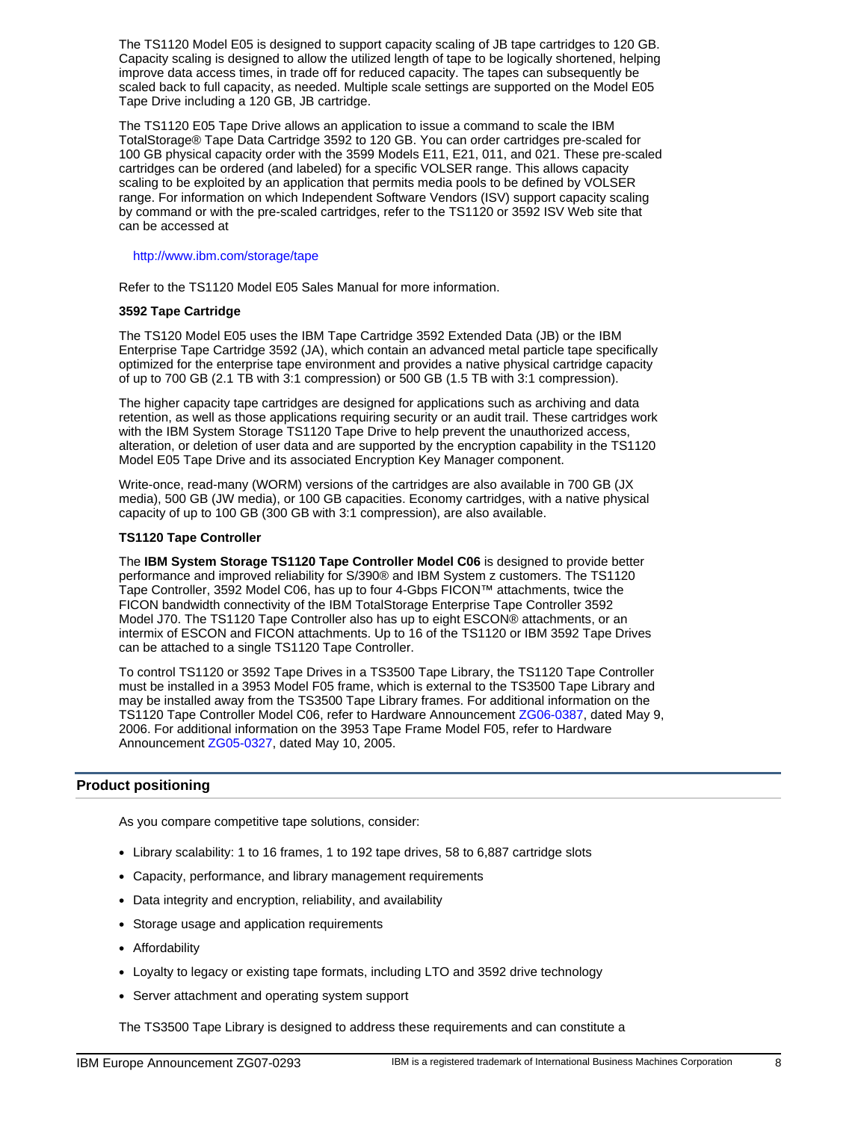The TS1120 Model E05 is designed to support capacity scaling of JB tape cartridges to 120 GB. Capacity scaling is designed to allow the utilized length of tape to be logically shortened, helping improve data access times, in trade off for reduced capacity. The tapes can subsequently be scaled back to full capacity, as needed. Multiple scale settings are supported on the Model E05 Tape Drive including a 120 GB, JB cartridge.

The TS1120 E05 Tape Drive allows an application to issue a command to scale the IBM TotalStorage® Tape Data Cartridge 3592 to 120 GB. You can order cartridges pre-scaled for 100 GB physical capacity order with the 3599 Models E11, E21, 011, and 021. These pre-scaled cartridges can be ordered (and labeled) for a specific VOLSER range. This allows capacity scaling to be exploited by an application that permits media pools to be defined by VOLSER range. For information on which Independent Software Vendors (ISV) support capacity scaling by command or with the pre-scaled cartridges, refer to the TS1120 or 3592 ISV Web site that can be accessed at

#### http://www.ibm.com/storage/tape

Refer to the TS1120 Model E05 Sales Manual for more information.

## **3592 Tape Cartridge**

The TS120 Model E05 uses the IBM Tape Cartridge 3592 Extended Data (JB) or the IBM Enterprise Tape Cartridge 3592 (JA), which contain an advanced metal particle tape specifically optimized for the enterprise tape environment and provides a native physical cartridge capacity of up to 700 GB (2.1 TB with 3:1 compression) or 500 GB (1.5 TB with 3:1 compression).

The higher capacity tape cartridges are designed for applications such as archiving and data retention, as well as those applications requiring security or an audit trail. These cartridges work with the IBM System Storage TS1120 Tape Drive to help prevent the unauthorized access, alteration, or deletion of user data and are supported by the encryption capability in the TS1120 Model E05 Tape Drive and its associated Encryption Key Manager component.

Write-once, read-many (WORM) versions of the cartridges are also available in 700 GB (JX media), 500 GB (JW media), or 100 GB capacities. Economy cartridges, with a native physical capacity of up to 100 GB (300 GB with 3:1 compression), are also available.

#### **TS1120 Tape Controller**

The **IBM System Storage TS1120 Tape Controller Model C06** is designed to provide better performance and improved reliability for S/390® and IBM System z customers. The TS1120 Tape Controller, 3592 Model C06, has up to four 4-Gbps FICON™ attachments, twice the FICON bandwidth connectivity of the IBM TotalStorage Enterprise Tape Controller 3592 Model J70. The TS1120 Tape Controller also has up to eight ESCON® attachments, or an intermix of ESCON and FICON attachments. Up to 16 of the TS1120 or IBM 3592 Tape Drives can be attached to a single TS1120 Tape Controller.

To control TS1120 or 3592 Tape Drives in a TS3500 Tape Library, the TS1120 Tape Controller must be installed in a 3953 Model F05 frame, which is external to the TS3500 Tape Library and may be installed away from the TS3500 Tape Library frames. For additional information on the TS1120 Tape Controller Model C06, refer to Hardware Announcement [ZG06-0387](http://www.ibm.com/common/ssi/fcgi-bin/ssialias?infotype=AN&subtype=CA&htmlfid=877/ENUSZG06-0387&appname=USN), dated May 9, 2006. For additional information on the 3953 Tape Frame Model F05, refer to Hardware Announcement [ZG05-0327,](http://www.ibm.com/common/ssi/fcgi-bin/ssialias?infotype=AN&subtype=CA&htmlfid=877/ENUSZG05-0327&appname=USN) dated May 10, 2005.

## <span id="page-7-0"></span>**Product positioning**

As you compare competitive tape solutions, consider:

- Library scalability: 1 to 16 frames, 1 to 192 tape drives, 58 to 6,887 cartridge slots
- Capacity, performance, and library management requirements
- Data integrity and encryption, reliability, and availability
- Storage usage and application requirements
- Affordability
- Loyalty to legacy or existing tape formats, including LTO and 3592 drive technology
- Server attachment and operating system support

The TS3500 Tape Library is designed to address these requirements and can constitute a